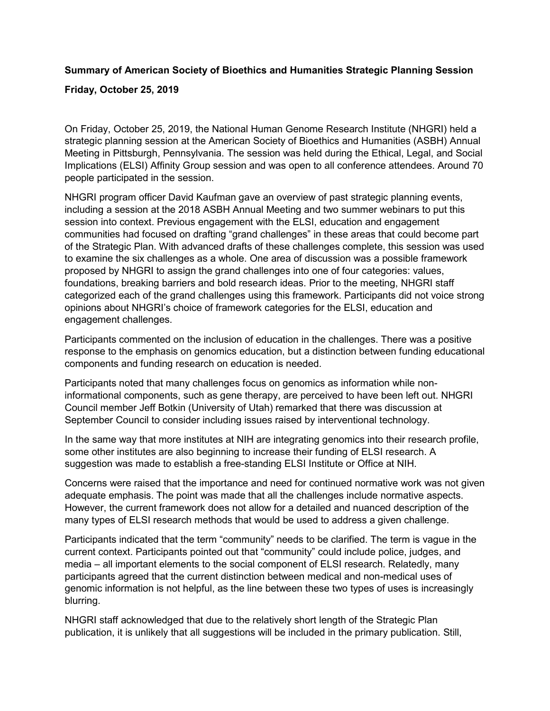## **Summary of American Society of Bioethics and Humanities Strategic Planning Session Friday, October 25, 2019**

On Friday, October 25, 2019, the National Human Genome Research Institute (NHGRI) held a strategic planning session at the American Society of Bioethics and Humanities (ASBH) Annual Meeting in Pittsburgh, Pennsylvania. The session was held during the Ethical, Legal, and Social Implications (ELSI) Affinity Group session and was open to all conference attendees. Around 70 people participated in the session.

NHGRI program officer David Kaufman gave an overview of past strategic planning events, including a session at the 2018 ASBH Annual Meeting and two summer webinars to put this session into context. Previous engagement with the ELSI, education and engagement communities had focused on drafting "grand challenges" in these areas that could become part of the Strategic Plan. With advanced drafts of these challenges complete, this session was used to examine the six challenges as a whole. One area of discussion was a possible framework proposed by NHGRI to assign the grand challenges into one of four categories: values, foundations, breaking barriers and bold research ideas. Prior to the meeting, NHGRI staff categorized each of the grand challenges using this framework. Participants did not voice strong opinions about NHGRI's choice of framework categories for the ELSI, education and engagement challenges.

Participants commented on the inclusion of education in the challenges. There was a positive response to the emphasis on genomics education, but a distinction between funding educational components and funding research on education is needed.

Participants noted that many challenges focus on genomics as information while noninformational components, such as gene therapy, are perceived to have been left out. NHGRI Council member Jeff Botkin (University of Utah) remarked that there was discussion at September Council to consider including issues raised by interventional technology.

In the same way that more institutes at NIH are integrating genomics into their research profile, some other institutes are also beginning to increase their funding of ELSI research. A suggestion was made to establish a free-standing ELSI Institute or Office at NIH.

Concerns were raised that the importance and need for continued normative work was not given adequate emphasis. The point was made that all the challenges include normative aspects. However, the current framework does not allow for a detailed and nuanced description of the many types of ELSI research methods that would be used to address a given challenge.

Participants indicated that the term "community" needs to be clarified. The term is vague in the current context. Participants pointed out that "community" could include police, judges, and media – all important elements to the social component of ELSI research. Relatedly, many participants agreed that the current distinction between medical and non-medical uses of genomic information is not helpful, as the line between these two types of uses is increasingly blurring.

NHGRI staff acknowledged that due to the relatively short length of the Strategic Plan publication, it is unlikely that all suggestions will be included in the primary publication. Still,